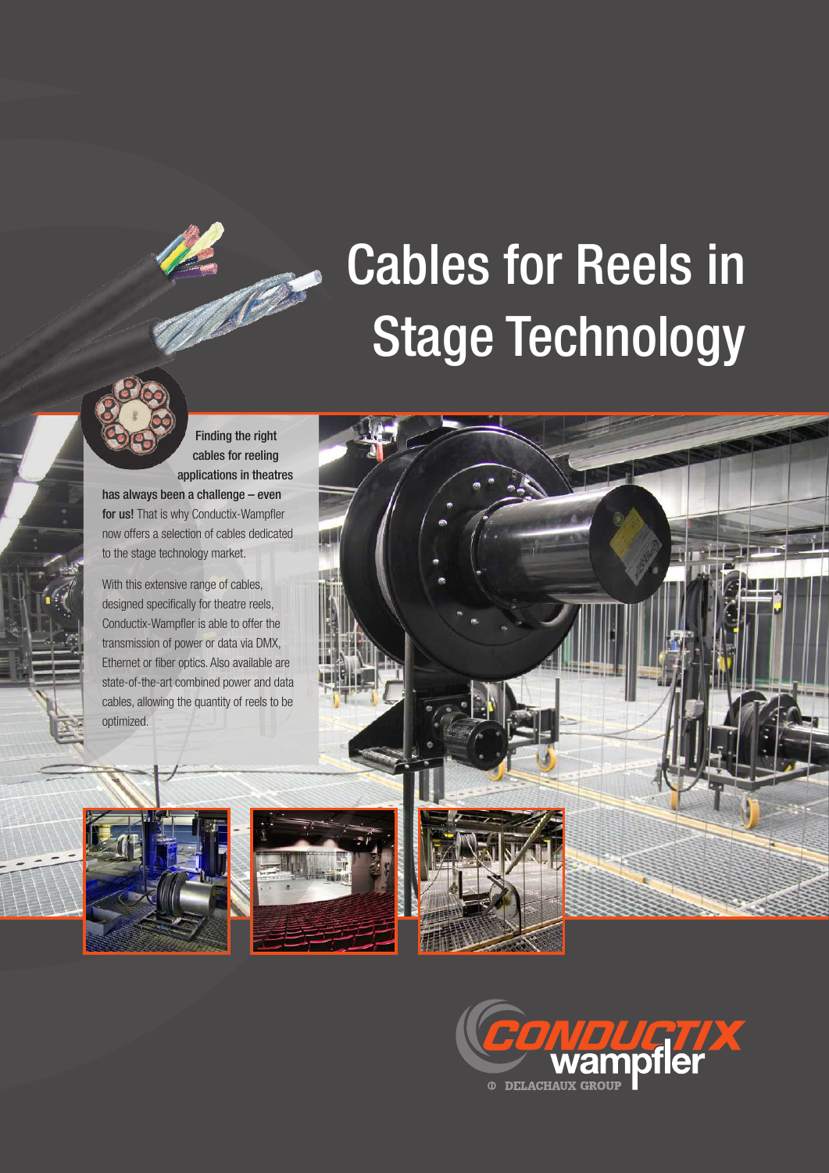## Cables for Reels in Stage Technology



Finding the right cables for reeling applications in theatres has always been a challenge – even

for us! That is why Conductix-Wampfler now offers a selection of cables dedicated to the stage technology market.

With this extensive range of cables, designed specifically for theatre reels, Conductix-Wampfler is able to offer the transmission of power or data via DMX, Ethernet or fiber optics. Also available are state-of-the-art combined power and data cables, allowing the quantity of reels to be



optimized.